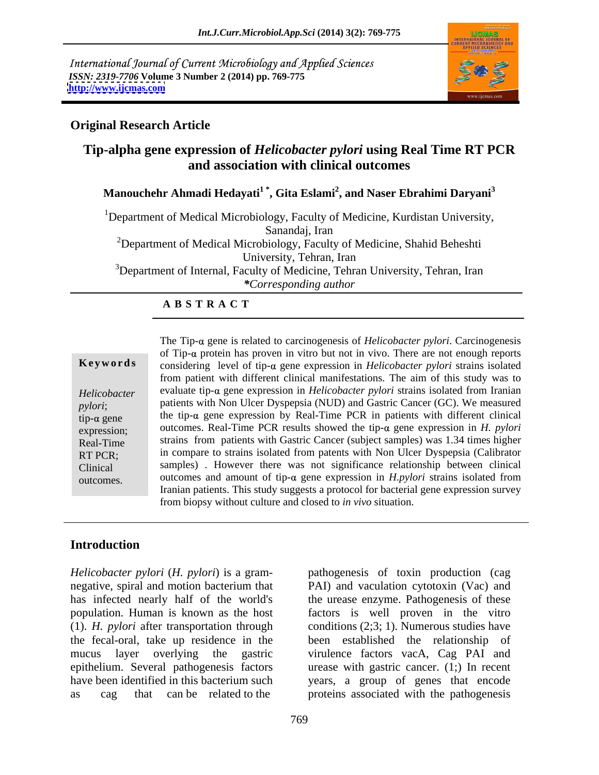International Journal of Current Microbiology and Applied Sciences *ISSN: 2319-7706* **Volume 3 Number 2 (2014) pp. 769-775 <http://www.ijcmas.com>**



### **Original Research Article**

# **Tip-alpha gene expression of** *Helicobacter pylori* **using Real Time RT PCR and association with clinical outcomes**

**Manouchehr Ahmadi Hedayati1 \* , Gita Eslami<sup>2</sup> , and Naser Ebrahimi Daryani<sup>3</sup>**

<sup>1</sup>Department of Medical Microbiology, Faculty of Medicine, Kurdistan University, Sanandaj, Iran <sup>2</sup>Department of Medical Microbiology, Faculty of Medicine, Shahid Beheshti University, Tehran, Iran <sup>3</sup>Department of Internal, Faculty of Medicine, Tehran University, Tehran, Iran *\*Corresponding author* 

### **A B S T R A C T**

**Keywords** considering level of tip-α gene expression in *Helicobacter pylori* strains isolated Helicobacter evaluate tip- $\alpha$  gene expression in *Helicobacter pylori* strains isolated from Iranian pylori; patients with Non Ulcer Dyspepsia (NUD) and Gastric Cancer (GC). We measured tip- $\alpha$  gene the tip- $\alpha$  gene expression by Real-Time PCR in patients with different clinical expression; outcomes. Real-Time PCR results showed the tip- $\alpha$  gene expression in *H. pylori* Real-Time strains from patients with Gastric Cancer (subject samples) was 1.34 times higher RT PCR; in compare to strains isolated from patents with Non Ulcer Dyspepsia (Calibrator Clinical samples) . However there was not significance relationship between clinical outcomes.  $\qquad \qquad$  outcomes and amount of tip- $\alpha$  gene expression in *H.pylori* strains isolated from The Tip- $\alpha$  gene is related to carcinogenesis of *Helicobacter pylori*. Carcinogenesis of Tip- $\alpha$  protein has proven in vitro but not in vivo. There are not enough reports from patient with different clinical manifestations. The aim of this study was to Iranian patients. This study suggests a protocol for bacterial gene expression survey from biopsy without culture and closed to *in vivo* situation.

### **Introduction**

*Helicobacter pylori* (*H. pylori*) is a gram population. Human is known as the host

negative, spiral and motion bacterium that PAI) and vaculation cytotoxin (Vac) and has infected nearly half of the world's the urease enzyme. Pathogenesis of these (1). *H. pylori* after transportation through conditions (2;3; 1). Numerous studies have the fecal-oral, take up residence in the been established the relationship of mucus layer overlying the gastric virulence factors vacA, Cag PAI and epithelium. Several pathogenesis factors urease with gastric cancer. (1;) In recent have been identified in this bacterium such years, a group of genes that encode as cag that can be related to the proteins associated with the pathogenesis pathogenesis of toxin production (cag factors is well proven in the vitro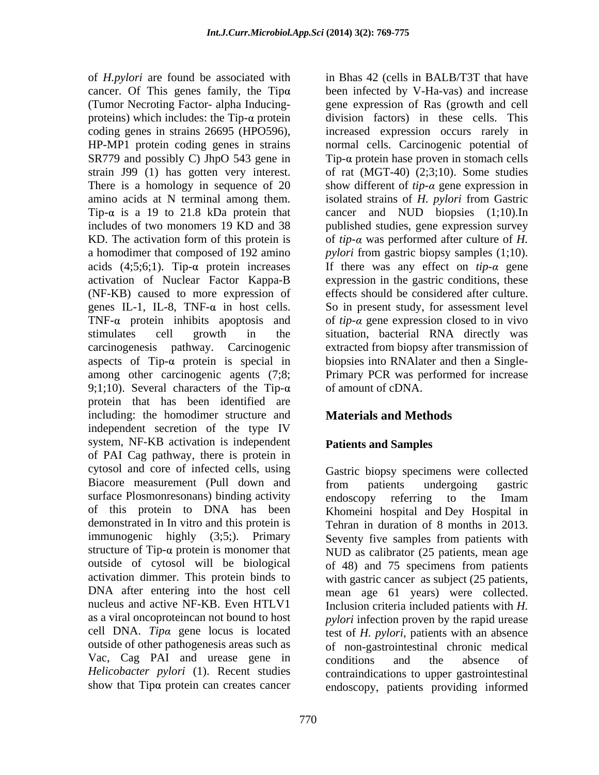of *H.pylori* are found be associated with in Bhas 42 (cells in BALB/T3T that have cancer. Of This genes family, the Tip been infected by V-Ha-vas) and increase (Tumor Necroting Factor- alpha Inducing- gene expression of Ras (growth and cell proteins) which includes: the  $Tip-\alpha$  protein division factors) in these cells. This coding genes in strains 26695 (HPO596), increased expression occurs rarely in HP-MP1 protein coding genes in strains normal cells. Carcinogenic potential of SR779 and possibly C) JhpO 543 gene in Tip- $\alpha$  protein hase proven in stomach cells strain J99 (1) has gotten very interest. of rat (MGT-40) (2;3;10). Some studies There is a homology in sequence of  $20$  show different of  $tip-\alpha$  gene expression in amino acids at N terminal among them. isolated strains of *H. pylori* from Gastric Tip- $\alpha$  is a 19 to 21.8 kDa protein that cancer and NUD biopsies  $(1;10)$ .In includes of two monomers 19 KD and 38 published studies, gene expression survey KD. The activation form of this protein is  $\qquad \text{of } tip\text{-}\alpha$  was performed after culture of *H*. a homodimer that composed of 192 amino *pylori* from gastric biopsy samples (1;10). acids  $(4,5,6,1)$ . Tip- $\alpha$  protein increases If there was any effect on *tip-* $\alpha$  gene activation of Nuclear Factor Kappa-B expression in the gastric conditions, these (NF-KB) caused to more expression of genes IL-1, IL-8, TNF- $\alpha$  in host cells. So in present study, for assessment level TNF- $\alpha$  protein inhibits apoptosis and of *tip-* $\alpha$  gene expression closed to in vivo stimulates cell growth in the situation, bacterial RNA directly was carcinogenesis pathway. Carcinogenic extracted from biopsy after transmission of aspects of Tip- $\alpha$  protein is special in biopsies into RNA later and then a Singleamong other carcinogenic agents (7;8; Primary PCR was performed for increase 9;1;10). Several characters of the Tip- $\alpha$ protein that has been identified are including: the homodimer structure and independent secretion of the type IV system, NF-KB activation is independent of PAI Cag pathway, there is protein in cytosol and core of infected cells, using Gastric biopsy specimens were collected Biacore measurement (Pull down and from patients undergoing gastric surface Plosmonresonans) binding activity endoscopy referring to the Imam of this protein to DNA has been Khomeini hospital and Dey Hospital in demonstrated in In vitro and this protein is immunogenic highly (3;5;). Primary Seventy five samples from patients with structure of Tip- $\alpha$  protein is monomer that  $NUD$  as calibrator (25 patients, mean age outside of cytosol will be biological of 48) and 75 specimens from patients activation dimmer. This protein binds to with gastric cancer as subject (25 patients, DNA after entering into the host cell mean age 61 years) were collected. nucleus and active NF-KB. Even HTLV1 Inclusion criteria included patients with *H*. as a viral oncoproteincan not bound to host *pylori* infection proven by the rapid urease cell DNA. *Tipa* gene locus is located outside of other pathogenesis areas such as of non-gastrointestinal chronic medical Vac, Cag PAI and urease gene in conditions and the absence of *Helicobacter pylori* (1). Recent studies show that Tipa protein can creates cancer endoscopy, patients providing informed

**Materials and Methods Patients and Samples**

of amount of cDNA.

effects should be considered after culture.

from patients undergoing gastric endoscopy referring to the Imam Tehran in duration of 8 months in 2013. test of *H. pylori*, patients with an absence conditions and the absence of contraindications to upper gastrointestinal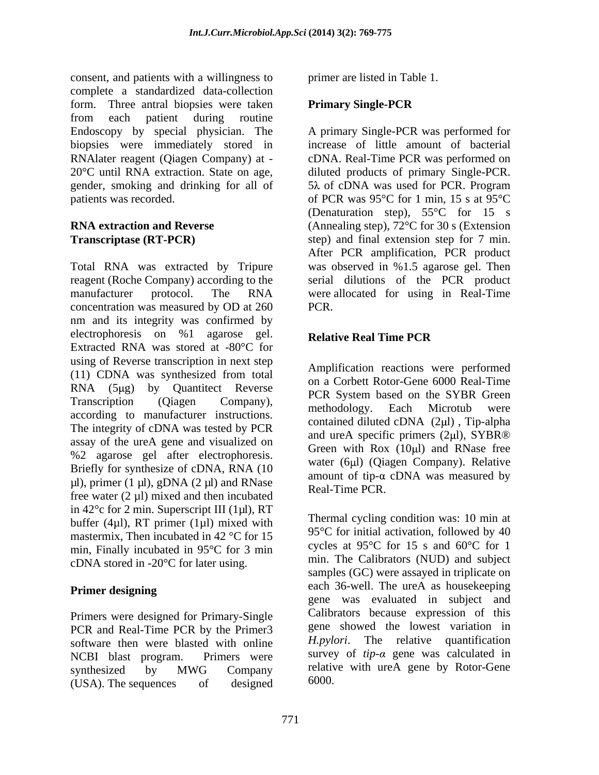consent, and patients with a willingness to complete a standardized data-collection form. Three antral biopsies were taken **Primary Single-PCR** from each patient during routine Endoscopy by special physician. The A primary Single-PCR was performed for biopsies were immediately stored in RNAlater reagent (Qiagen Company) at - cDNA. Real-Time PCR was performed on 20°C until RNA extraction. State on age, diluted products of primary Single-PCR. gender, smoking and drinking for all of 5 $\lambda$  of cDNA was used for PCR. Program patients was recorded.  $\qquad \qquad$  of PCR was 95°C for 1 min, 15 s at 95°C

Total RNA was extracted by Tripure was observed in %1.5 agarose gel. Then reagent (Roche Company) according to the serial dilutions of the PCR product manufacturer protocol. The RNA were allocated for using in Real-Time concentration was measured by OD at 260 nm and its integrity was confirmed by electrophoresis on %1 agarose gel. Relative Real Time PCR Extracted RNA was stored at -80°C for using of Reverse transcription in next step (11) CDNA was synthesized from total  $RNA$  (5 $\mu$ g) by Quantitect Reverse<br>  $RCR$  System based on the SYBR Green Transcription (Qiagen Company), TCK System based on the STBK Steen according to manufacturer instructions. The methodology. Each Microtub were The integrity of cDNA was tested by PCR assay of the ureA gene and visualized on %2 agarose gel after electrophoresis. Briefly for synthesize of cDNA, RNA (10  $\mu$ l), primer (1  $\mu$ l), gDNA (2  $\mu$ l) and RNase free water  $(2 \mu l)$  mixed and then incubated in  $42^{\circ}$ c for 2 min. Superscript III (1µl), RT buffer (4 $\mu$ l), RT primer (1 $\mu$ l) mixed with mastermix, Then incubated in 42 °C for 15 min, Finally incubated in 95°C for 3 min cDNA stored in -20°C for later using.

Primers were designed for Primary-Single PCR and Real-Time PCR by the Primer3 software then were blasted with online (USA). The sequences of designed  $6000$ .

primer are listed in Table 1.

## **Primary Single-PCR**

**RNA extraction and Reverse** (Annealing step), 72°C for 30 s (Extension **Transcriptase (RT-PCR)** step) and final extension step for 7 min. increase of little amount of bacterial 5 $\lambda$  of cDNA was used for PCR. Program (Denaturation step), 55°C for 15 s After PCR amplification, PCR product PCR.

## **Relative Real Time PCR**

Amplification reactions were performed on a Corbett Rotor-Gene 6000 Real-Time PCR System based on the SYBR Green methodology. Each Microtub were contained diluted cDNA  $(2\mu l)$ , Tip-alpha and ureA specific primers  $(2\mu l)$ , SYBR® Green with  $Rox$  (10 $\mu$ I) and RNase free water (6µl) (Qiagen Company). Relative amount of tip- $\alpha$  cDNA was measured by Real-Time PCR.

**Primer designing** each so-well. The urea as house eeping NCBI blast program. Primers were survey of *tip-a* gene was calculated in synthesized by MWG Company relative with ureA gene by Rotor-Gene Thermal cycling condition was: 10 min at 95°C for initial activation, followed by 40 cycles at 95°C for 15 s and 60°C for 1 min. The Calibrators (NUD) and subject samples (GC) were assayed in triplicate on each 36-well. The ureA as housekeeping gene was evaluated in subject and Calibrators because expression of this gene showed the lowest variation in *H.pylori*. The relative quantification relative with ureA gene by Rotor-Gene 6000.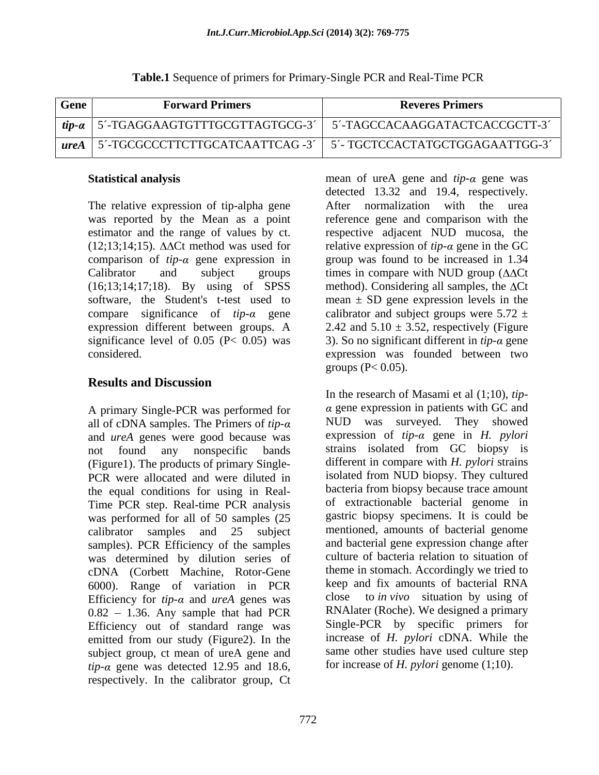| Gene    | <b>Forward Primers</b>                 | <b>Reveres Primers</b>                              |
|---------|----------------------------------------|-----------------------------------------------------|
| $tip-a$ | TGAGGAAGTGTTTGCGTTAGTGCG-3             | -TAGCCACAAGGATACTCACCGCTT-3<br>$\sim$ $\sim$ $\sim$ |
| ureA    | <b>TTCTTGCATCAATTCAG -3</b><br>TGCGCCC | CTCCACTATGCTGGAGAATTGG-3<br>  L TL                  |

#### **Table.1** Sequence of primers for Primary-Single PCR and Real-Time PCR

The relative expression of tip-alpha gene After normalization with the urea (16;13;14;17;18). By using of SPSS

## **Results and Discussion**

A primary Single-PCR was performed for all of cDNA samples. The Primers of *tip* and *ureA* genes were good because was (Figure1). The products of primary Single- PCR were allocated and were diluted in the equal conditions for using in Real- Time PCR step. Real-time PCR analysis was performed for all of 50 samples (25 samples). PCR Efficiency of the samples was determined by dilution series of cDNA (Corbett Machine, Rotor-Gene 6000). Range of variation in PCR keep a<br>Efficiency for *tin-a* and *ureA* genes was close Efficiency for  $tip-\alpha$  and  $ureA$  genes was  $0.82 - 1.36$ . Any sample that had PCR Efficiency out of standard range was emitted from our study (Figure2). In the subject group, ct mean of ureA gene and  $tip-\alpha$  gene was detected 12.95 and 18.6, respectively. In the calibrator group, Ct

**Statistical analysis** mean of ureA gene and *tip-a* gene was was reported by the Mean as a point reference gene and comparison with the estimator and the range of values by ct. respective adjacent NUD mucosa, the  $(12;13;14;15)$ .  $\Delta\Delta$ Ct method was used for relative expression of *tip-* $\alpha$  gene in the GC comparison of  $tip$ - $\alpha$  gene expression in group was found to be increased in 1.34 Calibrator and subject groups times in compare with NUD group  $(\Delta \Delta \text{C} t)$ software, the Student's t-test used to mean  $\pm$  SD gene expression levels in the compare significance of *tip-a* gene calibrator and subject groups were  $5.72 \pm$ expression different between groups. A  $2.42$  and  $5.10 \pm 3.52$ , respectively (Figure significance level of  $0.05$  (P<  $0.05$ ) was 3). So no significant different in *tip-* $\alpha$  gene considered. expression was founded between two detected 13.32 and 19.4, respectively. After normalization with the method). Considering all samples, the  $\Delta$ Ct groups ( $P < 0.05$ ).

not found any nonspecific bands strains isolated from GC biopsy is calibrator samples and 25 subject mentioned, amounts of bacterial genome In the research of Masami et al (1;10), *tip-*  $\alpha$  gene expression in patients with GC and NUD was surveyed. They showed expression of  $tip-\alpha$  gene in *H. pylori* different in compare with *H. pylori* strains isolated from NUD biopsy. They cultured bacteria from biopsy because trace amount of extractionable bacterial genome in gastric biopsy specimens. It is could be and bacterial gene expression change after culture of bacteria relation to situation of theme in stomach. Accordingly we tried to keep and fix amounts of bacterial RNA to *in vivo* situation by using of RNAlater (Roche). We designed a primary Single-PCR by specific primers for increase of *H. pylori* cDNA. While the same other studies have used culture step for increase of *H. pylori* genome (1;10).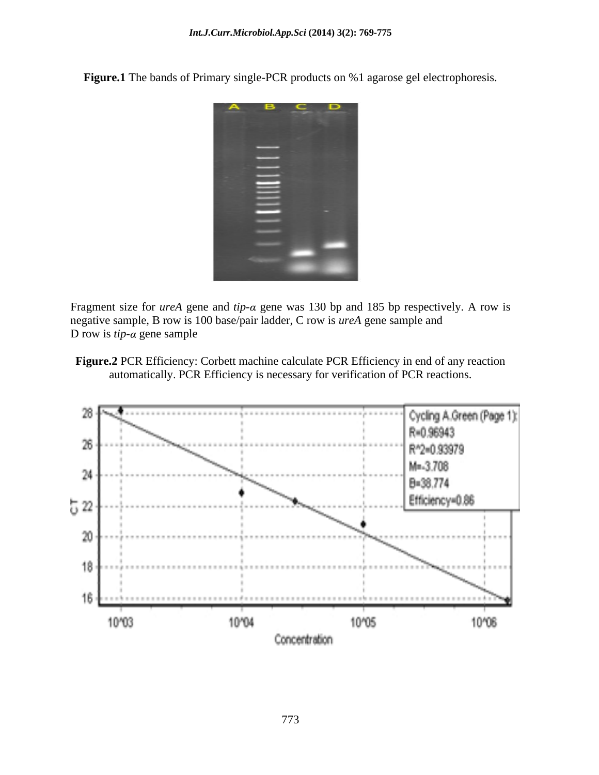**Figure.1** The bands of Primary single-PCR products on %1 agarose gel electrophoresis.



Fragment size for *ureA* gene and *tip-* $\alpha$  gene was 130 bp and 185 bp respectively. A row is negative sample, B row is 100 base/pair ladder, C row is *ureA* gene sample and D row is  $tip-\alpha$  gene sample

**Figure.2** PCR Efficiency: Corbett machine calculate PCR Efficiency in end of any reaction automatically. PCR Efficiency is necessary for verification of PCR reactions.

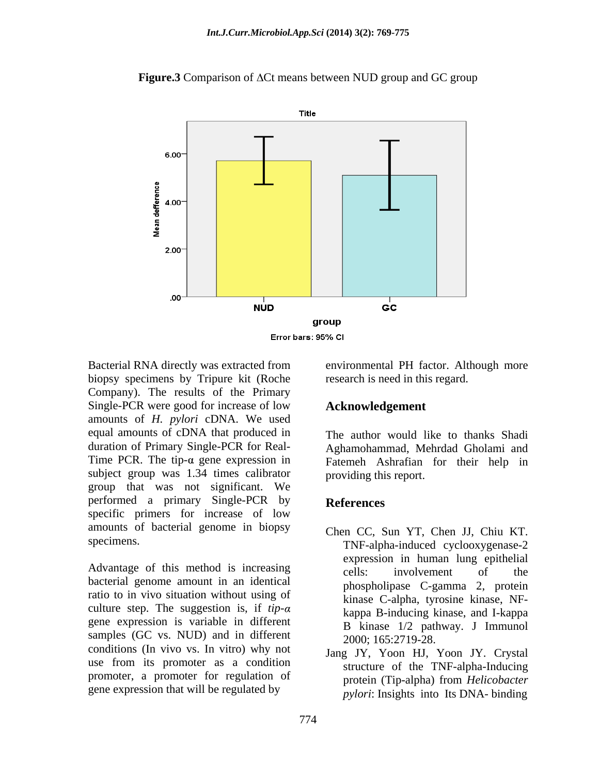

**Figure.3** Comparison of  $\Delta$ Ct means between NUD group and GC group

Bacterial RNA directly was extracted from environmental PH factor. Although more biopsy specimens by Tripure kit (Roche Company). The results of the Primary Single-PCR were good for increase of low amounts of *H. pylori* cDNA. We used equal amounts of cDNA that produced in duration of Primary Single-PCR for Real- Time PCR. The tip- $\alpha$  gene expression in subject group was 1.34 times calibrator group that was not significant. We performed a primary Single-PCR by References specific primers for increase of low amounts of bacterial genome in biopsy

Advantage of this method is increasing  $\qquad \qquad$  cells: involvement of the bacterial genome amount in an identical ratio to in vivo situation without using of culture step. The suggestion is, if  $tip-\alpha$ gene expression is variable in different samples (GC vs. NUD) and in different conditions (In vivo vs. In vitro) why not use from its promoter as a condition promoter, a promoter for regulation of protein (Tip-alpha) from *Helicobacter* gene expression that will be regulated by

research is need in this regard.

### **Acknowledgement**

The author would like to thanks Shadi Aghamohammad, Mehrdad Gholami and Fatemeh Ashrafian for their help in providing this report.

### **References**

- specimens. TNF-alpha-induced cyclooxygenase-2 Chen CC, Sun YT, Chen JJ, Chiu KT. expression in human lung epithelial cells: involvement of the phospholipase C-gamma 2, protein kinase C-alpha, tyrosine kinase, NF kappa B-inducing kinase, and I-kappa B kinase 1/2 pathway. J Immunol 2000; 165:2719-28.
	- Jang JY, Yoon HJ, Yoon JY. Crystal structure of the TNF-alpha-Inducing protein (Tip-alpha) from *Helicobacter pylori*: Insights into Its DNA- binding